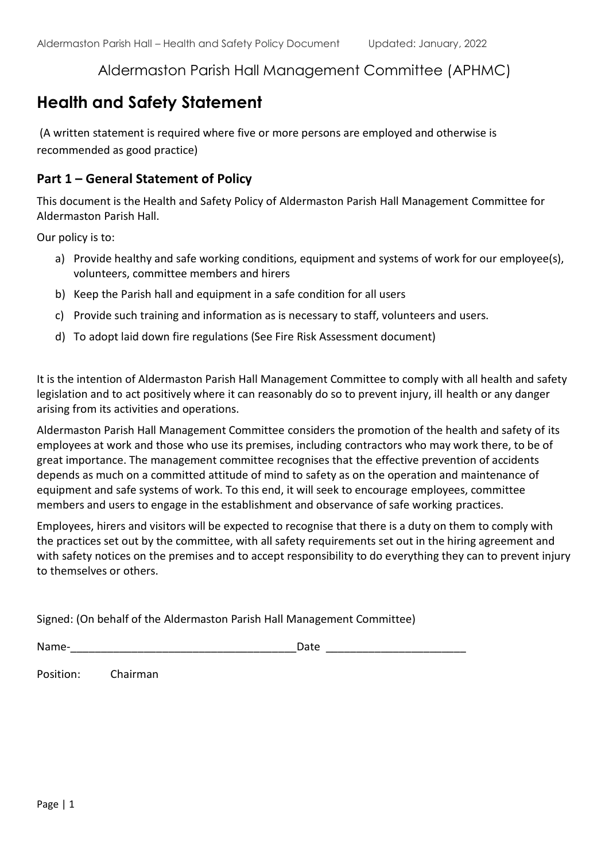## Aldermaston Parish Hall Management Committee (APHMC)

# **Health and Safety Statement**

(A written statement is required where five or more persons are employed and otherwise is recommended as good practice)

#### **Part 1 – General Statement of Policy**

This document is the Health and Safety Policy of Aldermaston Parish Hall Management Committee for Aldermaston Parish Hall.

Our policy is to:

- a) Provide healthy and safe working conditions, equipment and systems of work for our employee(s), volunteers, committee members and hirers
- b) Keep the Parish hall and equipment in a safe condition for all users
- c) Provide such training and information as is necessary to staff, volunteers and users.
- d) To adopt laid down fire regulations (See Fire Risk Assessment document)

It is the intention of Aldermaston Parish Hall Management Committee to comply with all health and safety legislation and to act positively where it can reasonably do so to prevent injury, ill health or any danger arising from its activities and operations.

Aldermaston Parish Hall Management Committee considers the promotion of the health and safety of its employees at work and those who use its premises, including contractors who may work there, to be of great importance. The management committee recognises that the effective prevention of accidents depends as much on a committed attitude of mind to safety as on the operation and maintenance of equipment and safe systems of work. To this end, it will seek to encourage employees, committee members and users to engage in the establishment and observance of safe working practices.

Employees, hirers and visitors will be expected to recognise that there is a duty on them to comply with the practices set out by the committee, with all safety requirements set out in the hiring agreement and with safety notices on the premises and to accept responsibility to do everything they can to prevent injury to themselves or others.

Signed: (On behalf of the Aldermaston Parish Hall Management Committee)

Name-\_\_\_\_\_\_\_\_\_\_\_\_\_\_\_\_\_\_\_\_\_\_\_\_\_\_\_\_\_\_\_\_\_\_\_\_\_Date \_\_\_\_\_\_\_\_\_\_\_\_\_\_\_\_\_\_\_\_\_\_\_

Position: Chairman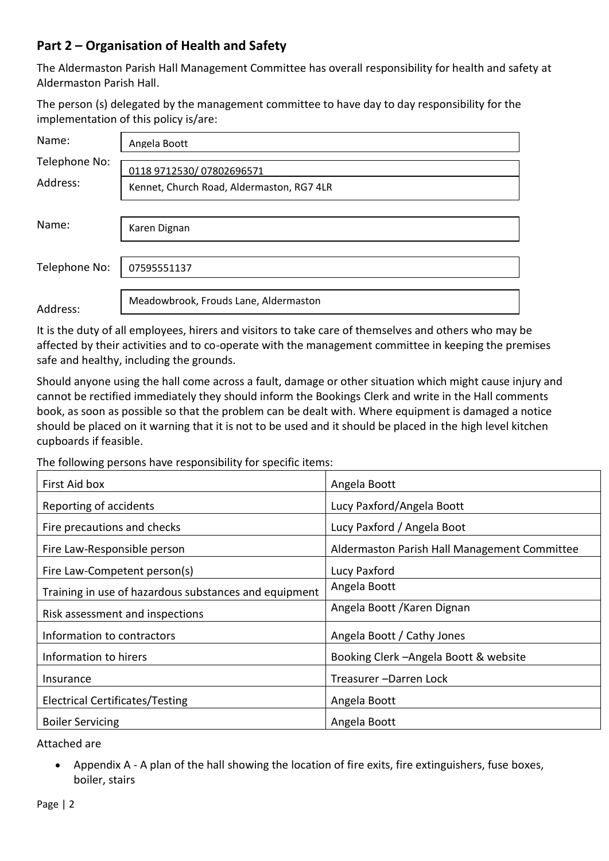## **Part 2 – Organisation of Health and Safety**

The Aldermaston Parish Hall Management Committee has overall responsibility for health and safety at Aldermaston Parish Hall.

The person (s) delegated by the management committee to have day to day responsibility for the implementation of this policy is/are:

| Name:                     | Angela Boott                                                          |  |  |  |
|---------------------------|-----------------------------------------------------------------------|--|--|--|
| Telephone No:<br>Address: | 0118 9712530/07802696571<br>Kennet, Church Road, Aldermaston, RG7 4LR |  |  |  |
| Name:                     | Karen Dignan                                                          |  |  |  |
| Telephone No:             | 07595551137                                                           |  |  |  |
| Address:                  | Meadowbrook, Frouds Lane, Aldermaston                                 |  |  |  |

It is the duty of all employees, hirers and visitors to take care of themselves and others who may be affected by their activities and to co-operate with the management committee in keeping the premises safe and healthy, including the grounds.

Should anyone using the hall come across a fault, damage or other situation which might cause injury and cannot be rectified immediately they should inform the Bookings Clerk and write in the Hall comments book, as soon as possible so that the problem can be dealt with. Where equipment is damaged a notice should be placed on it warning that it is not to be used and it should be placed in the high level kitchen cupboards if feasible.

The following persons have responsibility for specific items:

| First Aid box                                         | Angela Boott                                 |  |
|-------------------------------------------------------|----------------------------------------------|--|
| Reporting of accidents                                | Lucy Paxford/Angela Boott                    |  |
| Fire precautions and checks                           | Lucy Paxford / Angela Boot                   |  |
| Fire Law-Responsible person                           | Aldermaston Parish Hall Management Committee |  |
| Fire Law-Competent person(s)                          | Lucy Paxford                                 |  |
| Training in use of hazardous substances and equipment | Angela Boott                                 |  |
| Risk assessment and inspections                       | Angela Boott / Karen Dignan                  |  |
| Information to contractors                            | Angela Boott / Cathy Jones                   |  |
| Information to hirers                                 | Booking Clerk - Angela Boott & website       |  |
| Insurance                                             | Treasurer-Darren Lock                        |  |
| Electrical Certificates/Testing                       | Angela Boott                                 |  |
| <b>Boiler Servicing</b>                               | Angela Boott                                 |  |

Attached are

 Appendix A - A plan of the hall showing the location of fire exits, fire extinguishers, fuse boxes, boiler, stairs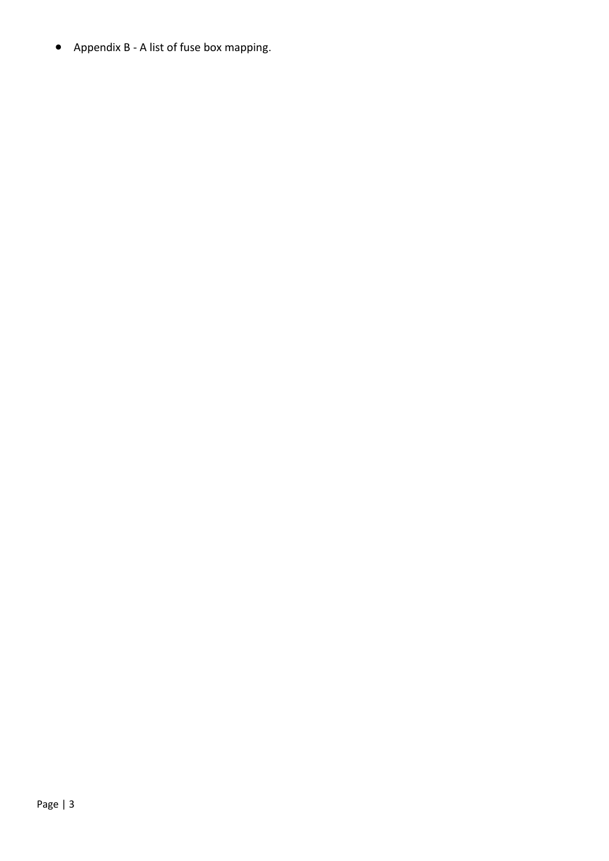Appendix B - A list of fuse box mapping.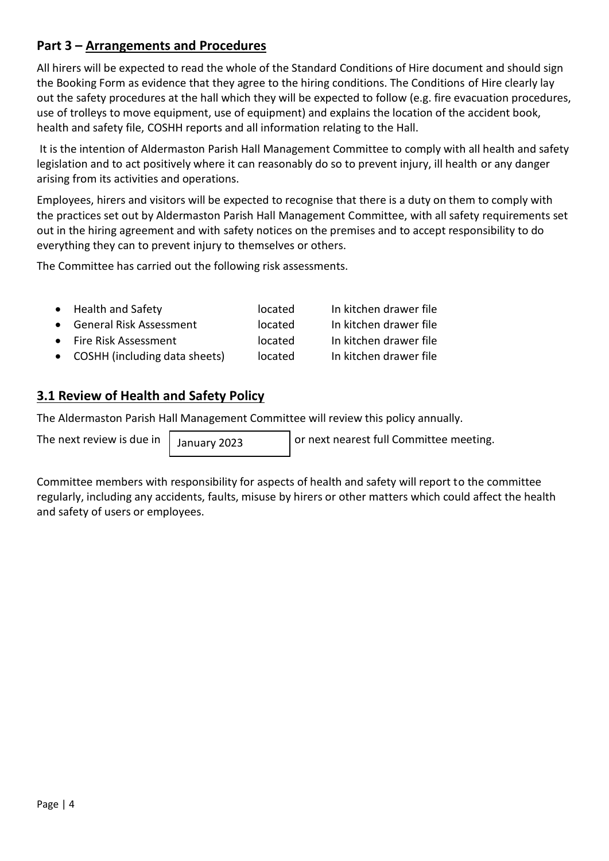## **Part 3 – Arrangements and Procedures**

All hirers will be expected to read the whole of the Standard Conditions of Hire document and should sign the Booking Form as evidence that they agree to the hiring conditions. The Conditions of Hire clearly lay out the safety procedures at the hall which they will be expected to follow (e.g. fire evacuation procedures, use of trolleys to move equipment, use of equipment) and explains the location of the accident book, health and safety file, COSHH reports and all information relating to the Hall.

It is the intention of Aldermaston Parish Hall Management Committee to comply with all health and safety legislation and to act positively where it can reasonably do so to prevent injury, ill health or any danger arising from its activities and operations.

Employees, hirers and visitors will be expected to recognise that there is a duty on them to comply with the practices set out by Aldermaston Parish Hall Management Committee, with all safety requirements set out in the hiring agreement and with safety notices on the premises and to accept responsibility to do everything they can to prevent injury to themselves or others.

The Committee has carried out the following risk assessments.

| • Health and Safety             | located | In kitchen drawer file |
|---------------------------------|---------|------------------------|
| • General Risk Assessment       | located | In kitchen drawer file |
| • Fire Risk Assessment          | located | In kitchen drawer file |
| • COSHH (including data sheets) | located | In kitchen drawer file |

## **3.1 Review of Health and Safety Policy**

The Aldermaston Parish Hall Management Committee will review this policy annually.

January 2023

The next review is due in  $\frac{1}{2}$   $\frac{1}{2}$  any  $\frac{2023}{20}$  or next nearest full Committee meeting.

Committee members with responsibility for aspects of health and safety will report to the committee regularly, including any accidents, faults, misuse by hirers or other matters which could affect the health and safety of users or employees.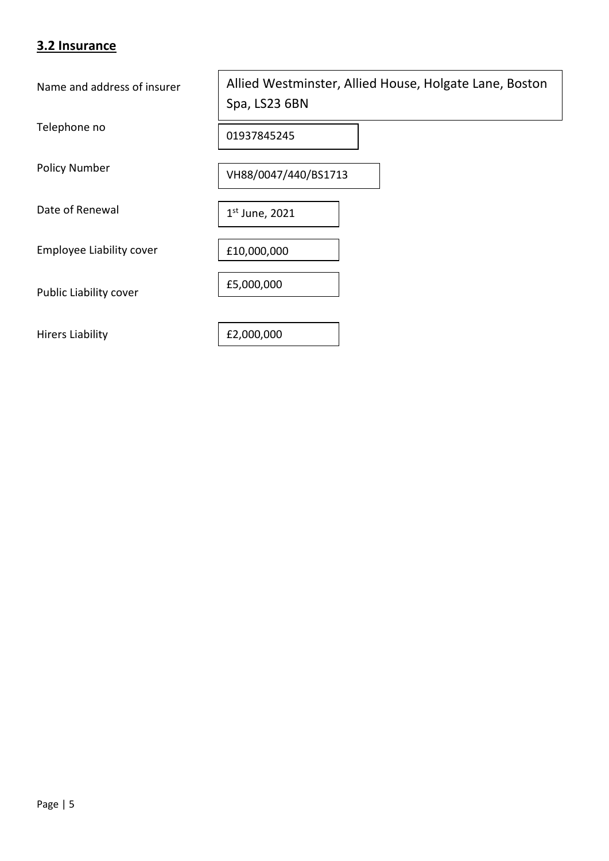### **3.2 Insurance**

Name and address of insurer

Telephone no

Policy Number

Date of Renewal

Employee Liability cover

Public Liability cover

Hirers Liability

Allied Westminster, Allied House, Holgate Lane, Boston Spa, LS23 6BN

01937845245

VH88/0047/440/BS1713

1 st June, 2021

£10,000,000

£5,000,000

£2,000,000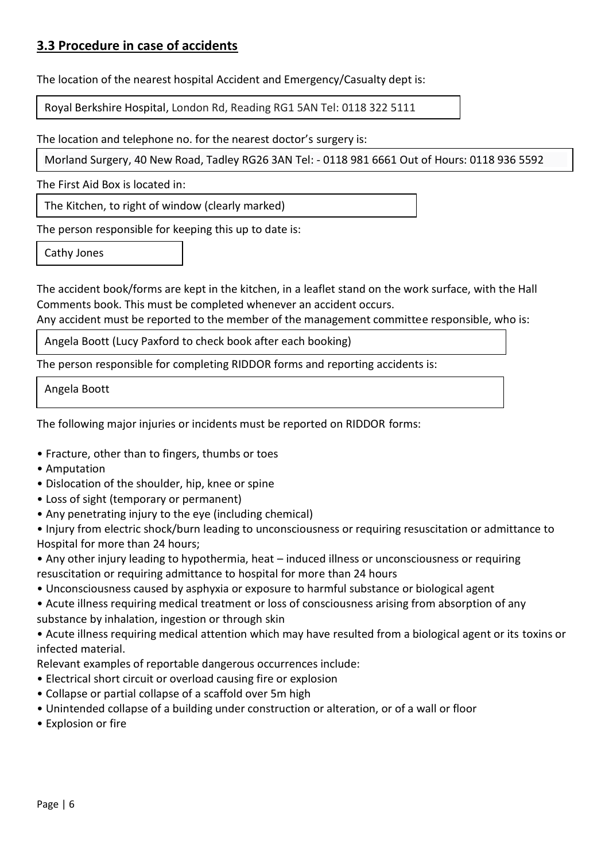## **3.3 Procedure in case of accidents**

The location of the nearest hospital Accident and Emergency/Casualty dept is:

Royal Berkshire Hospital, London Rd, Reading RG1 5AN Tel: 0118 322 5111

The location and telephone no. for the nearest doctor's surgery is:

Morland Surgery, 40 New Road, Tadley RG26 3AN Tel: - 0118 981 6661 Out of Hours: 0118 936 5592

The First Aid Box is located in:

The Kitchen, to right of window (clearly marked)

The person responsible for keeping this up to date is:

Cathy Jones

The accident book/forms are kept in the kitchen, in a leaflet stand on the work surface, with the Hall Comments book. This must be completed whenever an accident occurs.

Any accident must be reported to the member of the management committee responsible, who is:

Angela Boott (Lucy Paxford to check book after each booking)

The person responsible for completing RIDDOR forms and reporting accidents is:

Angela Boott

The following major injuries or incidents must be reported on RIDDOR forms:

- Fracture, other than to fingers, thumbs or toes
- Amputation
- Dislocation of the shoulder, hip, knee or spine
- Loss of sight (temporary or permanent)
- Any penetrating injury to the eye (including chemical)
- Injury from electric shock/burn leading to unconsciousness or requiring resuscitation or admittance to Hospital for more than 24 hours;
- Any other injury leading to hypothermia, heat induced illness or unconsciousness or requiring resuscitation or requiring admittance to hospital for more than 24 hours
- Unconsciousness caused by asphyxia or exposure to harmful substance or biological agent
- Acute illness requiring medical treatment or loss of consciousness arising from absorption of any substance by inhalation, ingestion or through skin

• Acute illness requiring medical attention which may have resulted from a biological agent or its toxins or infected material.

Relevant examples of reportable dangerous occurrences include:

- Electrical short circuit or overload causing fire or explosion
- Collapse or partial collapse of a scaffold over 5m high
- Unintended collapse of a building under construction or alteration, or of a wall or floor
- Explosion or fire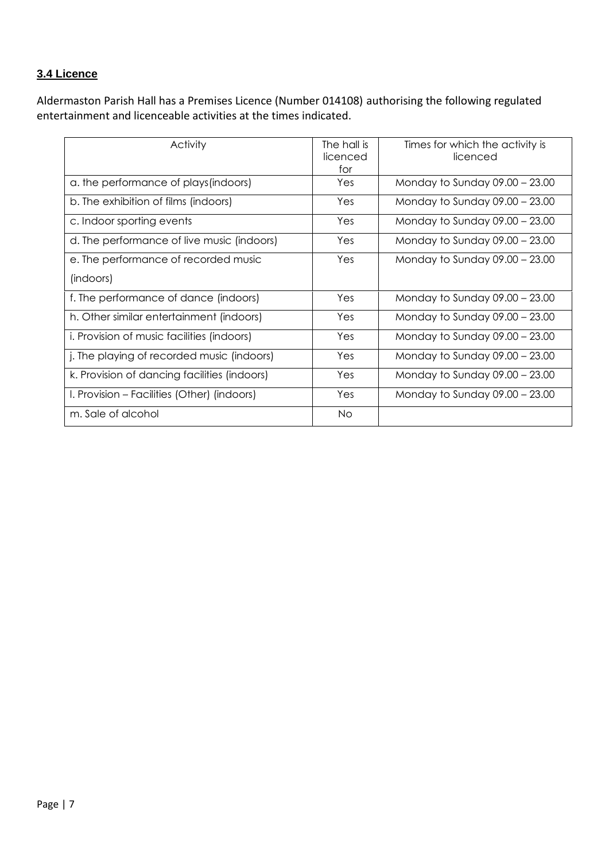#### **3.4 Licence**

Aldermaston Parish Hall has a Premises Licence (Number 014108) authorising the following regulated entertainment and licenceable activities at the times indicated.

| Activity                                          | The hall is<br>licenced<br>for | Times for which the activity is<br>licenced |
|---------------------------------------------------|--------------------------------|---------------------------------------------|
| a. the performance of plays (indoors)             | Yes                            | Monday to Sunday $09.00 - 23.00$            |
| b. The exhibition of films (indoors)              | Yes                            | Monday to Sunday $09.00 - 23.00$            |
| c. Indoor sporting events                         | Yes                            | Monday to Sunday $09.00 - 23.00$            |
| d. The performance of live music (indoors)        | Yes                            | Monday to Sunday 09.00 - 23.00              |
| e. The performance of recorded music              | Yes                            | Monday to Sunday $09.00 - 23.00$            |
| (indoors)                                         |                                |                                             |
| f. The performance of dance (indoors)             | Yes                            | Monday to Sunday $09.00 - 23.00$            |
| h. Other similar entertainment (indoors)          | Yes                            | Monday to Sunday $09.00 - 23.00$            |
| <i>i.</i> Provision of music facilities (indoors) | Yes                            | Monday to Sunday $09.00 - 23.00$            |
| j. The playing of recorded music (indoors)        | Yes                            | Monday to Sunday $09.00 - 23.00$            |
| k. Provision of dancing facilities (indoors)      | Yes                            | Monday to Sunday $09.00 - 23.00$            |
| I. Provision – Facilities (Other) (indoors)       | Yes                            | Monday to Sunday $09.00 - 23.00$            |
| m. Sale of alcohol                                | <b>No</b>                      |                                             |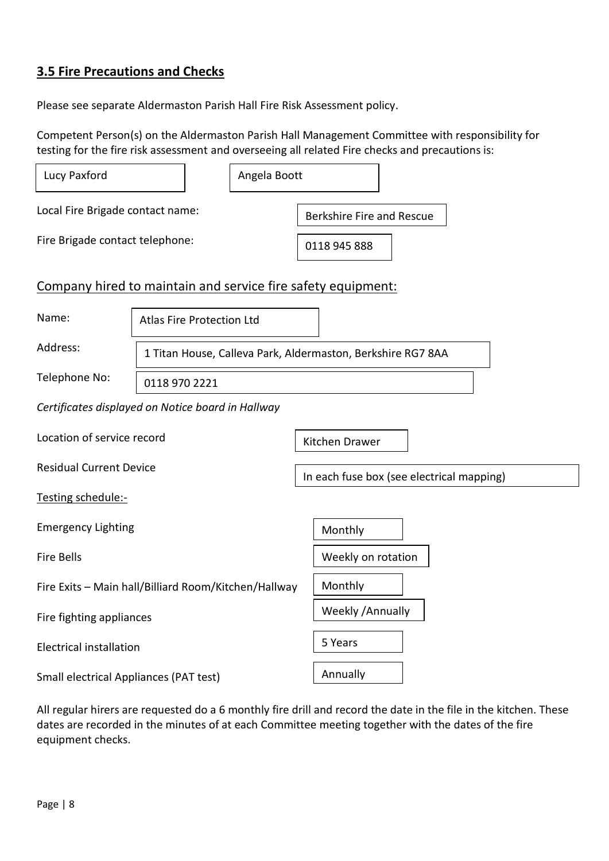# **3.5 Fire Precautions and Checks**

Please see separate Aldermaston Parish Hall Fire Risk Assessment policy.

Competent Person(s) on the Aldermaston Parish Hall Management Committee with responsibility for testing for the fire risk assessment and overseeing all related Fire checks and precautions is:

| Lucy Paxford                                                 |                                                             |                                  | Angela Boott                              |                |  |
|--------------------------------------------------------------|-------------------------------------------------------------|----------------------------------|-------------------------------------------|----------------|--|
| Local Fire Brigade contact name:                             |                                                             | <b>Berkshire Fire and Rescue</b> |                                           |                |  |
| Fire Brigade contact telephone:                              |                                                             |                                  |                                           | 0118 945 888   |  |
| Company hired to maintain and service fire safety equipment: |                                                             |                                  |                                           |                |  |
| Name:                                                        | Atlas Fire Protection Ltd                                   |                                  |                                           |                |  |
| Address:                                                     | 1 Titan House, Calleva Park, Aldermaston, Berkshire RG7 8AA |                                  |                                           |                |  |
| Telephone No:                                                | 0118 970 2221                                               |                                  |                                           |                |  |
| Certificates displayed on Notice board in Hallway            |                                                             |                                  |                                           |                |  |
| Location of service record                                   |                                                             |                                  |                                           | Kitchen Drawer |  |
| <b>Residual Current Device</b>                               |                                                             |                                  | In each fuse box (see electrical mapping) |                |  |
| Testing schedule:-                                           |                                                             |                                  |                                           |                |  |
| <b>Emergency Lighting</b>                                    |                                                             |                                  |                                           | Monthly        |  |
| <b>Fire Bells</b>                                            |                                                             | Weekly on rotation               |                                           |                |  |
| Fire Exits - Main hall/Billiard Room/Kitchen/Hallway         |                                                             | Monthly                          |                                           |                |  |
| Fire fighting appliances                                     |                                                             | Weekly / Annually                |                                           |                |  |
| <b>Electrical installation</b>                               |                                                             | 5 Years                          |                                           |                |  |
| <b>Small electrical Appliances (PAT test)</b>                |                                                             | Annually                         |                                           |                |  |

All regular hirers are requested do a 6 monthly fire drill and record the date in the file in the kitchen. These dates are recorded in the minutes of at each Committee meeting together with the dates of the fire equipment checks.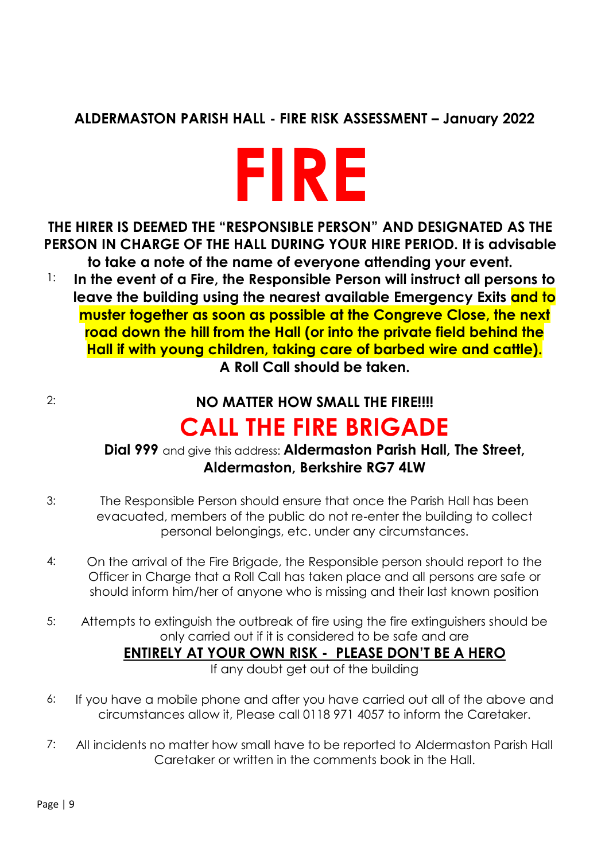# **ALDERMASTON PARISH HALL - FIRE RISK ASSESSMENT – January 2022**



**THE HIRER IS DEEMED THE "RESPONSIBLE PERSON" AND DESIGNATED AS THE PERSON IN CHARGE OF THE HALL DURING YOUR HIRE PERIOD. It is advisable to take a note of the name of everyone attending your event.**

1: **In the event of a Fire, the Responsible Person will instruct all persons to leave the building using the nearest available Emergency Exits and to muster together as soon as possible at the Congreve Close, the next road down the hill from the Hall (or into the private field behind the Hall if with young children, taking care of barbed wire and cattle). A Roll Call should be taken.**

# 2: **NO MATTER HOW SMALL THE FIRE!!!!**

# **CALL THE FIRE BRIGADE**

## **Dial 999** and give this address: **Aldermaston Parish Hall, The Street, Aldermaston, Berkshire RG7 4LW**

- 3: The Responsible Person should ensure that once the Parish Hall has been evacuated, members of the public do not re-enter the building to collect personal belongings, etc. under any circumstances.
- 4: On the arrival of the Fire Brigade, the Responsible person should report to the Officer in Charge that a Roll Call has taken place and all persons are safe or should inform him/her of anyone who is missing and their last known position
- 5: Attempts to extinguish the outbreak of fire using the fire extinguishers should be only carried out if it is considered to be safe and are

## **ENTIRELY AT YOUR OWN RISK - PLEASE DON'T BE A HERO**

If any doubt get out of the building

- 6: If you have a mobile phone and after you have carried out all of the above and circumstances allow it, Please call 0118 971 4057 to inform the Caretaker.
- 7: All incidents no matter how small have to be reported to Aldermaston Parish Hall Caretaker or written in the comments book in the Hall.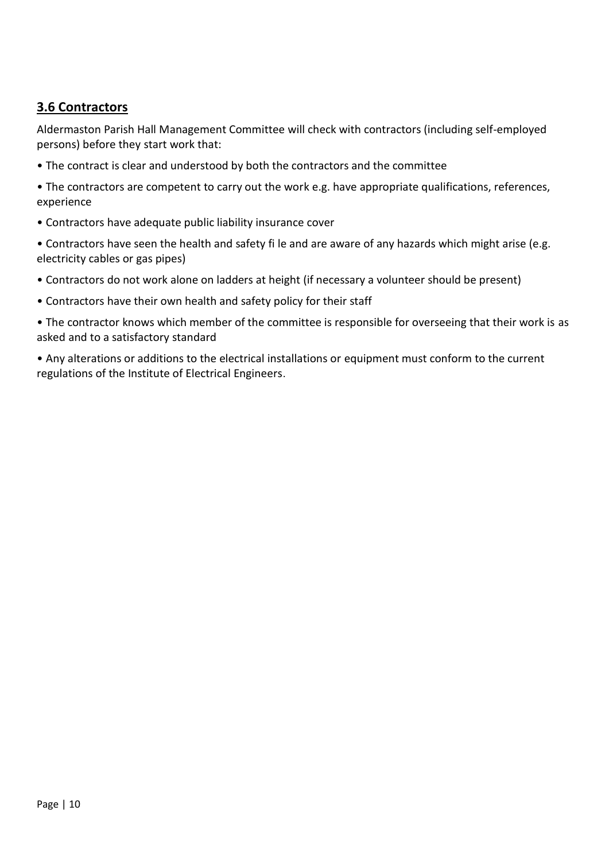## **3.6 Contractors**

Aldermaston Parish Hall Management Committee will check with contractors (including self-employed persons) before they start work that:

- The contract is clear and understood by both the contractors and the committee
- The contractors are competent to carry out the work e.g. have appropriate qualifications, references, experience
- Contractors have adequate public liability insurance cover
- Contractors have seen the health and safety fi le and are aware of any hazards which might arise (e.g. electricity cables or gas pipes)
- Contractors do not work alone on ladders at height (if necessary a volunteer should be present)
- Contractors have their own health and safety policy for their staff
- The contractor knows which member of the committee is responsible for overseeing that their work is as asked and to a satisfactory standard
- Any alterations or additions to the electrical installations or equipment must conform to the current regulations of the Institute of Electrical Engineers.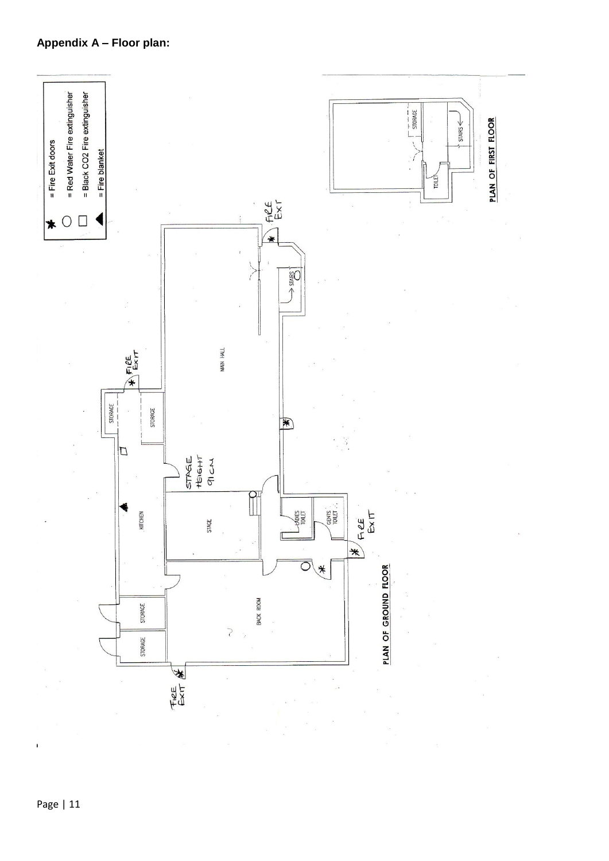## **Appendix A – Floor plan:**



 $\mathbf{i}$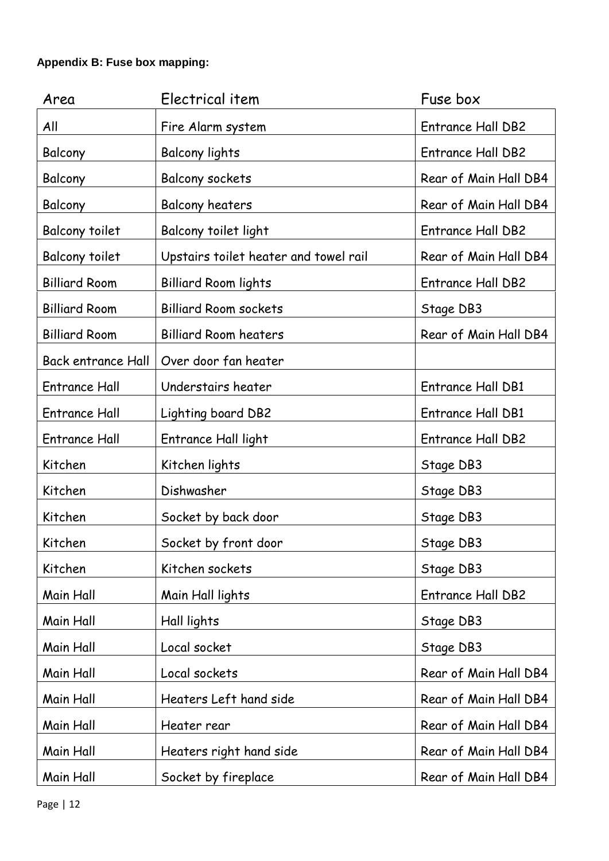### **Appendix B: Fuse box mapping:**

| Area                      | Electrical item                       | Fuse box                 |
|---------------------------|---------------------------------------|--------------------------|
| All                       | Fire Alarm system                     | <b>Entrance Hall DB2</b> |
| Balcony                   | <b>Balcony lights</b>                 | <b>Entrance Hall DB2</b> |
| Balcony                   | Balcony sockets                       | Rear of Main Hall DB4    |
| Balcony                   | <b>Balcony heaters</b>                | Rear of Main Hall DB4    |
| <b>Balcony toilet</b>     | Balcony toilet light                  | <b>Entrance Hall DB2</b> |
| <b>Balcony toilet</b>     | Upstairs toilet heater and towel rail | Rear of Main Hall DB4    |
| <b>Billiard Room</b>      | <b>Billiard Room lights</b>           | <b>Entrance Hall DB2</b> |
| <b>Billiard Room</b>      | <b>Billiard Room sockets</b>          | Stage DB3                |
| <b>Billiard Room</b>      | <b>Billiard Room heaters</b>          | Rear of Main Hall DB4    |
| <b>Back entrance Hall</b> | Over door fan heater                  |                          |
| <b>Entrance Hall</b>      | Understairs heater                    | Entrance Hall DB1        |
| <b>Entrance Hall</b>      | Lighting board DB2                    | Entrance Hall DB1        |
| <b>Entrance Hall</b>      | Entrance Hall light                   | <b>Entrance Hall DB2</b> |
| Kitchen                   | Kitchen lights                        | Stage DB3                |
| Kitchen                   | Dishwasher                            | Stage DB3                |
| Kitchen                   | Socket by back door                   | Stage DB3                |
| Kitchen                   | Socket by front door                  | Stage DB3                |
| Kitchen                   | Kitchen sockets                       | Stage DB3                |
| Main Hall                 | Main Hall lights                      | <b>Entrance Hall DB2</b> |
| Main Hall                 | Hall lights                           | Stage DB3                |
| Main Hall                 | Local socket                          | Stage DB3                |
| Main Hall                 | Local sockets                         | Rear of Main Hall DB4    |
| Main Hall                 | Heaters Left hand side                | Rear of Main Hall DB4    |
| Main Hall                 | Heater rear                           | Rear of Main Hall DB4    |
| Main Hall                 | Heaters right hand side               | Rear of Main Hall DB4    |
| Main Hall                 | Socket by fireplace                   | Rear of Main Hall DB4    |